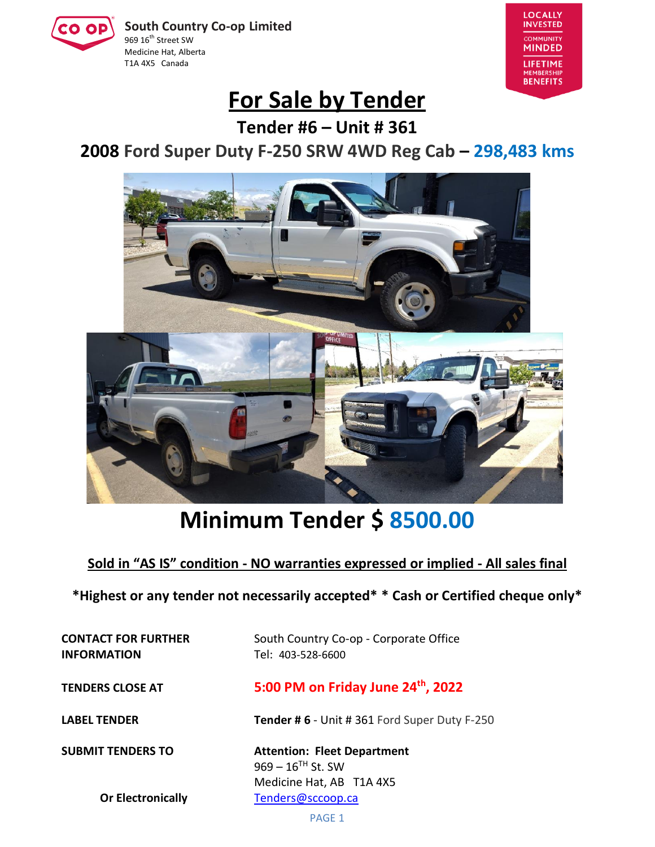**South Country Co-op Limited** 969 16<sup>th</sup> Street SW Medicine Hat, Alberta T1A 4X5 Canada



## **For Sale by Tender**

**Tender #6 – Unit # 361**

**2008 Ford Super Duty F-250 SRW 4WD Reg Cab – 298,483 kms**



# **Minimum Tender \$ 8500.00**

**Sold in "AS IS" condition - NO warranties expressed or implied - All sales final**

**\*Highest or any tender not necessarily accepted\* \* Cash or Certified cheque only\***

**INFORMATION** Tel: 403-528-6600

**CONTACT FOR FURTHER** South Country Co-op - Corporate Office

**TENDERS CLOSE AT 5:00 PM on Friday June 24th , 2022**

**LABEL TENDER Tender # 6** - Unit # 361 Ford Super Duty F-250

**SUBMIT TENDERS TO Attention: Fleet Department**  $969 - 16$ <sup>TH</sup> St. SW Medicine Hat, AB T1A 4X5 **Or Electronically** [Tenders@sccoop.ca](mailto:Tenders@sccoop.ca)

PAGE 1